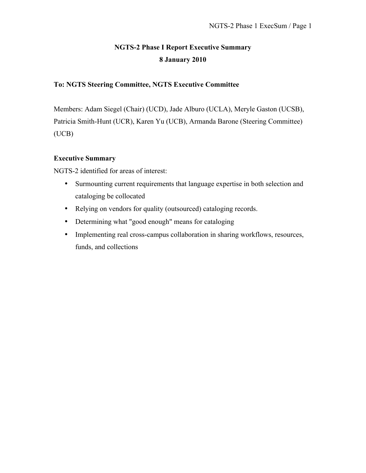# **NGTS-2 Phase I Report Executive Summary 8 January 2010**

# **To: NGTS Steering Committee, NGTS Executive Committee**

Members: Adam Siegel (Chair) (UCD), Jade Alburo (UCLA), Meryle Gaston (UCSB), Patricia Smith-Hunt (UCR), Karen Yu (UCB), Armanda Barone (Steering Committee) (UCB)

### **Executive Summary**

NGTS-2 identified for areas of interest:

- Surmounting current requirements that language expertise in both selection and cataloging be collocated
- Relying on vendors for quality (outsourced) cataloging records.
- Determining what "good enough" means for cataloging
- Implementing real cross-campus collaboration in sharing workflows, resources, funds, and collections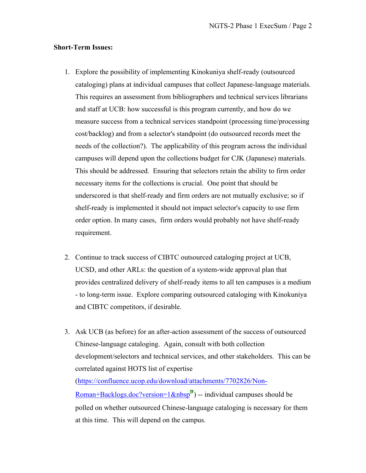#### **Short-Term Issues:**

- 1. Explore the possibility of implementing Kinokuniya shelf-ready (outsourced cataloging) plans at individual campuses that collect Japanese-language materials. This requires an assessment from bibliographers and technical services librarians and staff at UCB: how successful is this program currently, and how do we measure success from a technical services standpoint (processing time/processing cost/backlog) and from a selector's standpoint (do outsourced records meet the needs of the collection?). The applicability of this program across the individual campuses will depend upon the collections budget for CJK (Japanese) materials. This should be addressed. Ensuring that selectors retain the ability to firm order necessary items for the collections is crucial. One point that should be underscored is that shelf-ready and firm orders are not mutually exclusive; so if shelf-ready is implemented it should not impact selector's capacity to use firm order option. In many cases, firm orders would probably not have shelf-ready requirement.
- 2. Continue to track success of CIBTC outsourced cataloging project at UCB, UCSD, and other ARLs: the question of a system-wide approval plan that provides centralized delivery of shelf-ready items to all ten campuses is a medium - to long-term issue. Explore comparing outsourced cataloging with Kinokuniya and CIBTC competitors, if desirable.
- 3. Ask UCB (as before) for an after-action assessment of the success of outsourced Chinese-language cataloging. Again, consult with both collection development/selectors and technical services, and other stakeholders. This can be correlated against HOTS list of expertise (https://confluence.ucop.edu/download/attachments/7702826/Non-Roman+Backlogs.doc?version=1 $\&$ nbsp<sup>®</sup>) -- individual campuses should be polled on whether outsourced Chinese-language cataloging is necessary for them at this time. This will depend on the campus.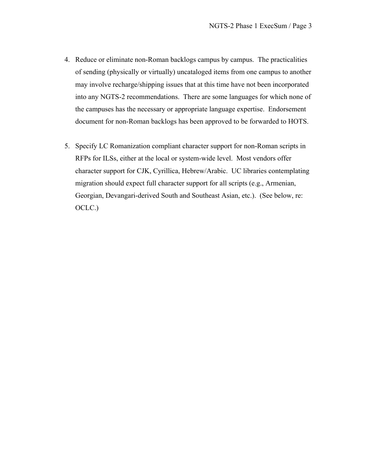- 4. Reduce or eliminate non-Roman backlogs campus by campus. The practicalities of sending (physically or virtually) uncataloged items from one campus to another may involve recharge/shipping issues that at this time have not been incorporated into any NGTS-2 recommendations. There are some languages for which none of the campuses has the necessary or appropriate language expertise. Endorsement document for non-Roman backlogs has been approved to be forwarded to HOTS.
- 5. Specify LC Romanization compliant character support for non-Roman scripts in RFPs for ILSs, either at the local or system-wide level. Most vendors offer character support for CJK, Cyrillica, Hebrew/Arabic. UC libraries contemplating migration should expect full character support for all scripts (e.g., Armenian, Georgian, Devangari-derived South and Southeast Asian, etc.). (See below, re: OCLC.)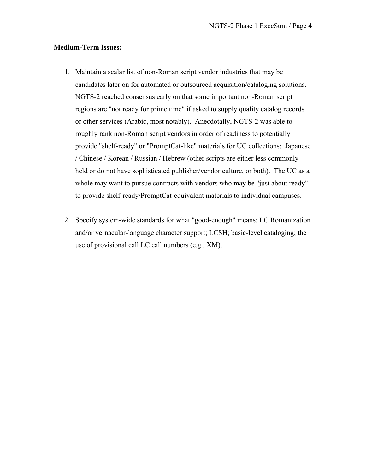### **Medium-Term Issues:**

- 1. Maintain a scalar list of non-Roman script vendor industries that may be candidates later on for automated or outsourced acquisition/cataloging solutions. NGTS-2 reached consensus early on that some important non-Roman script regions are "not ready for prime time" if asked to supply quality catalog records or other services (Arabic, most notably). Anecdotally, NGTS-2 was able to roughly rank non-Roman script vendors in order of readiness to potentially provide "shelf-ready" or "PromptCat-like" materials for UC collections: Japanese / Chinese / Korean / Russian / Hebrew (other scripts are either less commonly held or do not have sophisticated publisher/vendor culture, or both). The UC as a whole may want to pursue contracts with vendors who may be "just about ready" to provide shelf-ready/PromptCat-equivalent materials to individual campuses.
- 2. Specify system-wide standards for what "good-enough" means: LC Romanization and/or vernacular-language character support; LCSH; basic-level cataloging; the use of provisional call LC call numbers (e.g., XM).